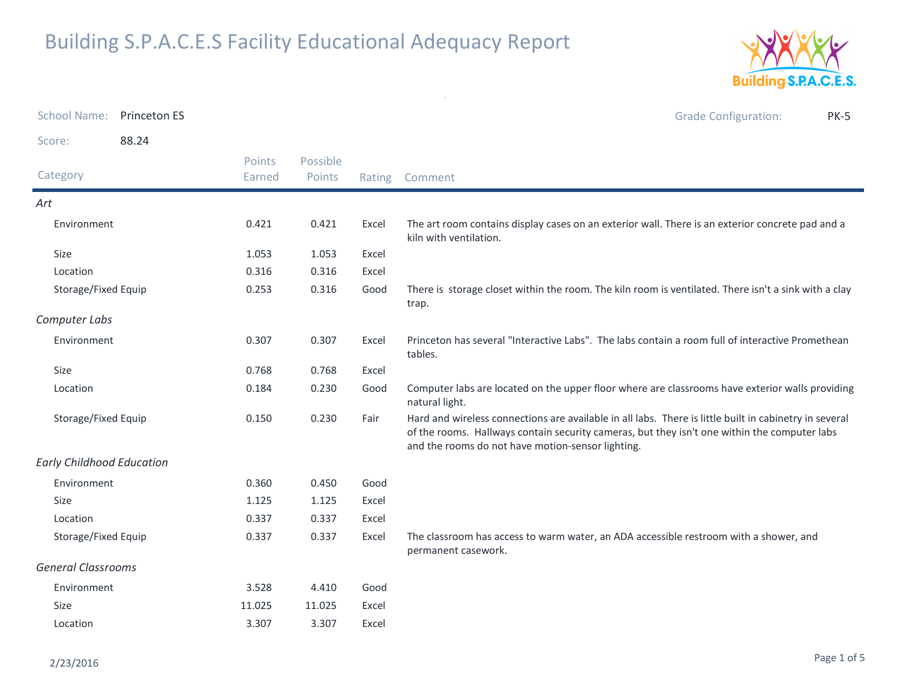

| School Name: Princeton ES        |       |                  |                    |        | <b>Grade Configuration:</b><br><b>PK-5</b>                                                                                                                                                                                                                  |
|----------------------------------|-------|------------------|--------------------|--------|-------------------------------------------------------------------------------------------------------------------------------------------------------------------------------------------------------------------------------------------------------------|
| Score:                           | 88.24 |                  |                    |        |                                                                                                                                                                                                                                                             |
| Category                         |       | Points<br>Earned | Possible<br>Points | Rating | Comment                                                                                                                                                                                                                                                     |
| Art                              |       |                  |                    |        |                                                                                                                                                                                                                                                             |
| Environment                      |       | 0.421            | 0.421              | Excel  | The art room contains display cases on an exterior wall. There is an exterior concrete pad and a<br>kiln with ventilation.                                                                                                                                  |
| Size                             |       | 1.053            | 1.053              | Excel  |                                                                                                                                                                                                                                                             |
| Location                         |       | 0.316            | 0.316              | Excel  |                                                                                                                                                                                                                                                             |
| Storage/Fixed Equip              |       | 0.253            | 0.316              | Good   | There is storage closet within the room. The kiln room is ventilated. There isn't a sink with a clay<br>trap.                                                                                                                                               |
| Computer Labs                    |       |                  |                    |        |                                                                                                                                                                                                                                                             |
| Environment                      |       | 0.307            | 0.307              | Excel  | Princeton has several "Interactive Labs". The labs contain a room full of interactive Promethean<br>tables.                                                                                                                                                 |
| Size                             |       | 0.768            | 0.768              | Excel  |                                                                                                                                                                                                                                                             |
| Location                         |       | 0.184            | 0.230              | Good   | Computer labs are located on the upper floor where are classrooms have exterior walls providing<br>natural light.                                                                                                                                           |
| Storage/Fixed Equip              |       | 0.150            | 0.230              | Fair   | Hard and wireless connections are available in all labs. There is little built in cabinetry in several<br>of the rooms. Hallways contain security cameras, but they isn't one within the computer labs<br>and the rooms do not have motion-sensor lighting. |
| <b>Early Childhood Education</b> |       |                  |                    |        |                                                                                                                                                                                                                                                             |
| Environment                      |       | 0.360            | 0.450              | Good   |                                                                                                                                                                                                                                                             |
| Size                             |       | 1.125            | 1.125              | Excel  |                                                                                                                                                                                                                                                             |
| Location                         |       | 0.337            | 0.337              | Excel  |                                                                                                                                                                                                                                                             |
| Storage/Fixed Equip              |       | 0.337            | 0.337              | Excel  | The classroom has access to warm water, an ADA accessible restroom with a shower, and<br>permanent casework.                                                                                                                                                |
| <b>General Classrooms</b>        |       |                  |                    |        |                                                                                                                                                                                                                                                             |
| Environment                      |       | 3.528            | 4.410              | Good   |                                                                                                                                                                                                                                                             |
| Size                             |       | 11.025           | 11.025             | Excel  |                                                                                                                                                                                                                                                             |
| Location                         |       | 3.307            | 3.307              | Excel  |                                                                                                                                                                                                                                                             |

 $\sim$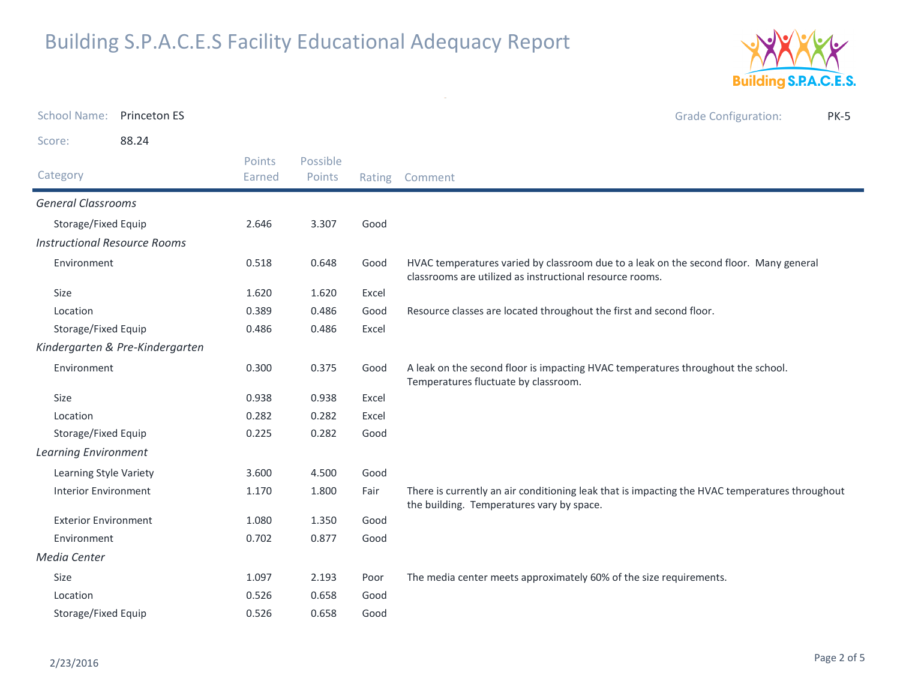

School Name: Princeton ES Grade Configuration: PK-5Score: 88.24Category Rating Comment Possible PointsPoints EarnedGeneral ClassroomsStorage/Fixed Equip 2.646 3.307 Good Instructional Resource RoomsEnvironment HVAC temperatures varied by classroom due to a leak on the second floor. Many general classrooms are utilized as instructional resource rooms.0.5180.648 Sizee 1.620 1.620 Excel Location 0.389 0.486 Good Resource classes are located throughout the first and second floor. Storage/Fixed Equip 0.486 0.486 Excel Kindergarten & Pre-KindergartenEnvironmentGood A leak on the second floor is impacting HVAC temperatures throughout the school. Temperatures fluctuate by classroom.0.3000.375 Sizee 0.938 0.938 Excel Location 0.282 0.282 Excel Storage/Fixed Equip 0.225 0.282 Good Learning EnvironmentLearning Style Variety 3.600 4.500 GoodInterior Environment There is currently an air conditioning leak that is impacting the HVAC temperatures throughout the building. Temperatures vary by space.1.1701.800 Exterior Environment 1.080 1.350 GoodEnvironment 0.702 0.877 GoodMedia CenterSizee 1.097 2.193 Poor The media center meets approximately 60% of the size requirements. Locationn 1980 0.526 0.658 Good Storage/Fixed Equip0.526 0.658 Good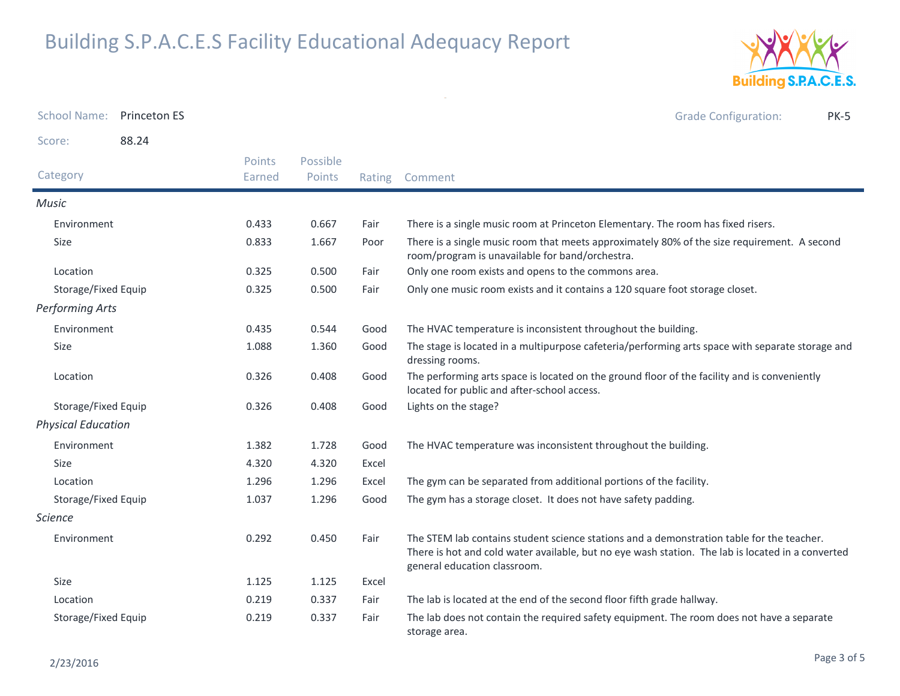

| <b>School Name:</b>       | <b>Princeton ES</b> |                  |                    |        | <b>Grade Configuration:</b><br><b>PK-5</b>                                                                                                                                                                                     |
|---------------------------|---------------------|------------------|--------------------|--------|--------------------------------------------------------------------------------------------------------------------------------------------------------------------------------------------------------------------------------|
| Score:                    | 88.24               |                  |                    |        |                                                                                                                                                                                                                                |
| Category                  |                     | Points<br>Earned | Possible<br>Points | Rating | Comment                                                                                                                                                                                                                        |
| Music                     |                     |                  |                    |        |                                                                                                                                                                                                                                |
| Environment               |                     | 0.433            | 0.667              | Fair   | There is a single music room at Princeton Elementary. The room has fixed risers.                                                                                                                                               |
| <b>Size</b>               |                     | 0.833            | 1.667              | Poor   | There is a single music room that meets approximately 80% of the size requirement. A second<br>room/program is unavailable for band/orchestra.                                                                                 |
| Location                  |                     | 0.325            | 0.500              | Fair   | Only one room exists and opens to the commons area.                                                                                                                                                                            |
| Storage/Fixed Equip       |                     | 0.325            | 0.500              | Fair   | Only one music room exists and it contains a 120 square foot storage closet.                                                                                                                                                   |
| Performing Arts           |                     |                  |                    |        |                                                                                                                                                                                                                                |
| Environment               |                     | 0.435            | 0.544              | Good   | The HVAC temperature is inconsistent throughout the building.                                                                                                                                                                  |
| <b>Size</b>               |                     | 1.088            | 1.360              | Good   | The stage is located in a multipurpose cafeteria/performing arts space with separate storage and<br>dressing rooms.                                                                                                            |
| Location                  |                     | 0.326            | 0.408              | Good   | The performing arts space is located on the ground floor of the facility and is conveniently<br>located for public and after-school access.                                                                                    |
| Storage/Fixed Equip       |                     | 0.326            | 0.408              | Good   | Lights on the stage?                                                                                                                                                                                                           |
| <b>Physical Education</b> |                     |                  |                    |        |                                                                                                                                                                                                                                |
| Environment               |                     | 1.382            | 1.728              | Good   | The HVAC temperature was inconsistent throughout the building.                                                                                                                                                                 |
| Size                      |                     | 4.320            | 4.320              | Excel  |                                                                                                                                                                                                                                |
| Location                  |                     | 1.296            | 1.296              | Excel  | The gym can be separated from additional portions of the facility.                                                                                                                                                             |
| Storage/Fixed Equip       |                     | 1.037            | 1.296              | Good   | The gym has a storage closet. It does not have safety padding.                                                                                                                                                                 |
| <b>Science</b>            |                     |                  |                    |        |                                                                                                                                                                                                                                |
| Environment               |                     | 0.292            | 0.450              | Fair   | The STEM lab contains student science stations and a demonstration table for the teacher.<br>There is hot and cold water available, but no eye wash station. The lab is located in a converted<br>general education classroom. |
| Size                      |                     | 1.125            | 1.125              | Excel  |                                                                                                                                                                                                                                |
| Location                  |                     | 0.219            | 0.337              | Fair   | The lab is located at the end of the second floor fifth grade hallway.                                                                                                                                                         |
| Storage/Fixed Equip       |                     | 0.219            | 0.337              | Fair   | The lab does not contain the required safety equipment. The room does not have a separate<br>storage area.                                                                                                                     |

 $\omega$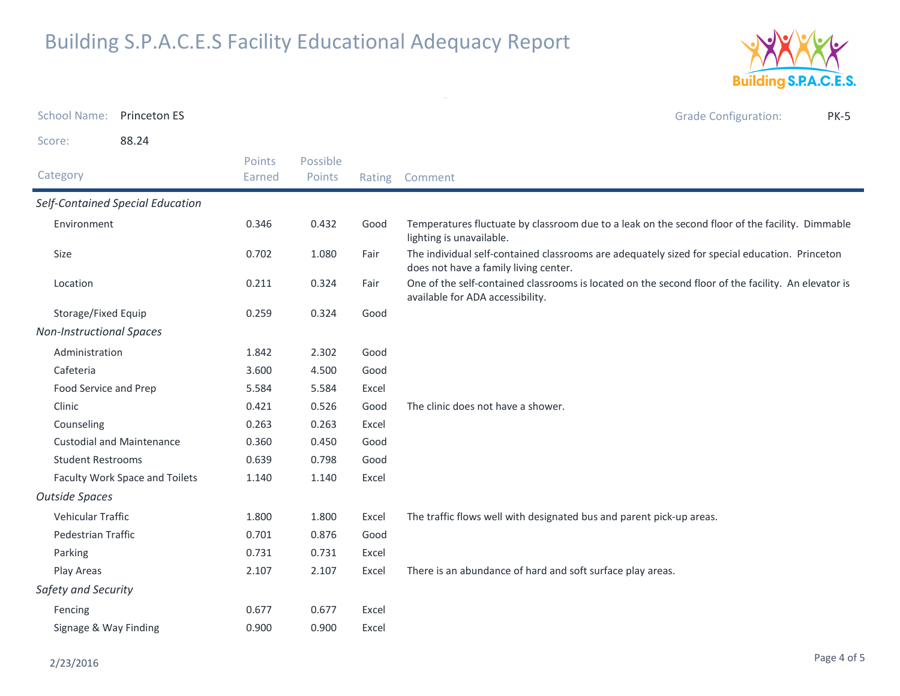

| <b>School Name:</b>              | <b>Princeton ES</b>              |                  |                    |        | <b>Grade Configuration:</b><br><b>PK-5</b>                                                                                              |
|----------------------------------|----------------------------------|------------------|--------------------|--------|-----------------------------------------------------------------------------------------------------------------------------------------|
| Score:                           | 88.24                            |                  |                    |        |                                                                                                                                         |
| Category                         |                                  | Points<br>Earned | Possible<br>Points | Rating | Comment                                                                                                                                 |
|                                  | Self-Contained Special Education |                  |                    |        |                                                                                                                                         |
| Environment                      |                                  | 0.346            | 0.432              | Good   | Temperatures fluctuate by classroom due to a leak on the second floor of the facility. Dimmable<br>lighting is unavailable.             |
| Size                             |                                  | 0.702            | 1.080              | Fair   | The individual self-contained classrooms are adequately sized for special education. Princeton<br>does not have a family living center. |
| Location                         |                                  | 0.211            | 0.324              | Fair   | One of the self-contained classrooms is located on the second floor of the facility. An elevator is<br>available for ADA accessibility. |
| Storage/Fixed Equip              |                                  | 0.259            | 0.324              | Good   |                                                                                                                                         |
| <b>Non-Instructional Spaces</b>  |                                  |                  |                    |        |                                                                                                                                         |
| Administration                   |                                  | 1.842            | 2.302              | Good   |                                                                                                                                         |
| Cafeteria                        |                                  | 3.600            | 4.500              | Good   |                                                                                                                                         |
|                                  | Food Service and Prep            |                  | 5.584              | Excel  |                                                                                                                                         |
| Clinic                           |                                  | 0.421            | 0.526              | Good   | The clinic does not have a shower.                                                                                                      |
| Counseling                       |                                  | 0.263            | 0.263              | Excel  |                                                                                                                                         |
| <b>Custodial and Maintenance</b> |                                  | 0.360            | 0.450              | Good   |                                                                                                                                         |
| <b>Student Restrooms</b>         |                                  | 0.639            | 0.798              | Good   |                                                                                                                                         |
| Faculty Work Space and Toilets   |                                  | 1.140            | 1.140              | Excel  |                                                                                                                                         |
| <b>Outside Spaces</b>            |                                  |                  |                    |        |                                                                                                                                         |
| Vehicular Traffic                |                                  | 1.800            | 1.800              | Excel  | The traffic flows well with designated bus and parent pick-up areas.                                                                    |
| <b>Pedestrian Traffic</b>        |                                  | 0.701            | 0.876              | Good   |                                                                                                                                         |
| Parking                          |                                  | 0.731            | 0.731              | Excel  |                                                                                                                                         |
| Play Areas                       |                                  | 2.107            | 2.107              | Excel  | There is an abundance of hard and soft surface play areas.                                                                              |
| Safety and Security              |                                  |                  |                    |        |                                                                                                                                         |
| Fencing                          |                                  | 0.677            | 0.677              | Excel  |                                                                                                                                         |
| Signage & Way Finding            |                                  | 0.900            | 0.900              | Excel  |                                                                                                                                         |

 $\sim$